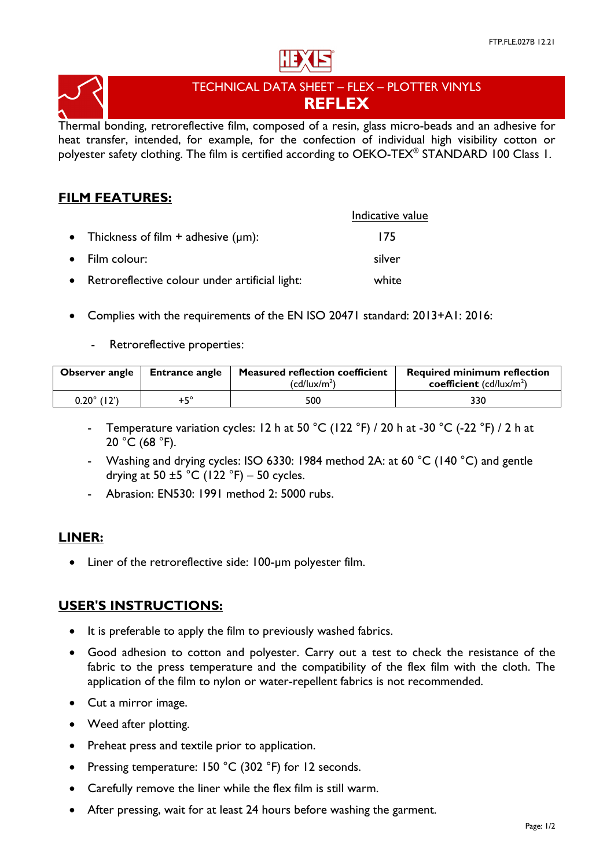



# TECHNICAL DATA SHEET – FLEX – PLOTTER VINYLS **REFLEX**

Thermal bonding, retroreflective film, composed of a resin, glass micro-beads and an adhesive for heat transfer, intended, for example, for the confection of individual high visibility cotton or polyester safety clothing. The film is certified according to OEKO-TEX® STANDARD 100 Class 1.

## **FILM FEATURES:**

|                                                  | Indicative value |
|--------------------------------------------------|------------------|
| • Thickness of film $+$ adhesive ( $\mu$ m):     | 175              |
| • Film colour:                                   | silver           |
| • Retroreflective colour under artificial light: | white            |

- Complies with the requirements of the EN ISO 20471 standard: 2013+A1: 2016:
	- Retroreflective properties:

| Observer angle | <b>Entrance angle</b> | <b>Measured reflection coefficient</b><br>(cd/lux/m <sup>2</sup> ) | <b>Required minimum reflection</b><br>coefficient $(cd/lux/m2)$ |
|----------------|-----------------------|--------------------------------------------------------------------|-----------------------------------------------------------------|
| 0.20° (12')    | +5°                   | 500                                                                | 330                                                             |

- Temperature variation cycles: 12 h at 50 °C (122 °F) / 20 h at -30 °C (-22 °F) / 2 h at 20 °C (68 °F).
- Washing and drying cycles: ISO 6330: 1984 method 2A: at 60 °C (140 °C) and gentle drying at 50  $\pm$ 5 °C (122 °F) – 50 cycles.
- Abrasion: EN530: 1991 method 2: 5000 rubs.

## **LINER:**

• Liner of the retroreflective side: 100-µm polyester film.

## **USER'S INSTRUCTIONS:**

- It is preferable to apply the film to previously washed fabrics.
- Good adhesion to cotton and polyester. Carry out a test to check the resistance of the fabric to the press temperature and the compatibility of the flex film with the cloth. The application of the film to nylon or water-repellent fabrics is not recommended.
- Cut a mirror image.
- Weed after plotting.
- Preheat press and textile prior to application.
- Pressing temperature: 150 °C (302 °F) for 12 seconds.
- Carefully remove the liner while the flex film is still warm.
- After pressing, wait for at least 24 hours before washing the garment.